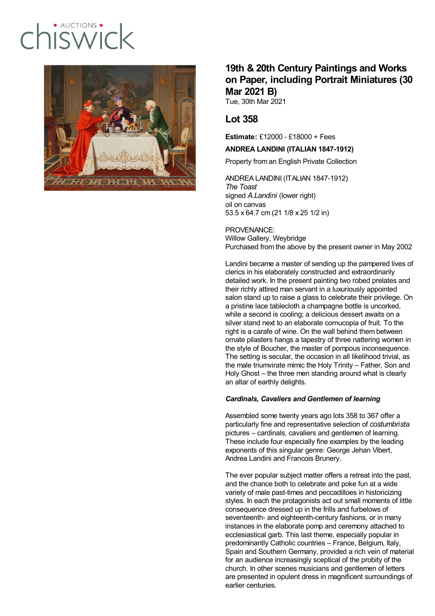# $ALICTIONS$  $\frac{1}{2}$



## **19th & 20th Century Paintings and Works on Paper, including Portrait Miniatures (30 Mar 2021 B)**

Tue, 30th Mar 2021

## **Lot 358**

**Estimate:** £12000 - £18000 + Fees

### **ANDREA LANDINI (ITALIAN 1847-1912)**

Property from an English Private Collection

ANDREA LANDINI (ITALIAN 1847-1912) *The Toast* signed *A.Landini* (lower right) oil on canvas 53.5 x 64.7 cm (21 1/8 x 25 1/2 in)

PROVENANCE: Willow Gallery, Weybridge Purchased from the above by the present owner in May 2002

Landini became a master of sending up the pampered lives of clerics in his elaborately constructed and extraordinarily detailed work. In the present painting two robed prelates and their richly attired man servant in a luxuriously appointed salon stand up to raise a glass to celebrate their privilege. On a pristine lace tablecloth a champagne bottle is uncorked, while a second is cooling; a delicious dessert awaits on a silver stand next to an elaborate cornucopia of fruit. To the right is a carafe of wine. On the wall behind them between ornate pilasters hangs a tapestry of three nattering women in the style of Boucher, the master of pompous inconsequence. The setting is secular, the occasion in all likelihood trivial, as the male triumvirate mimic the Holy Trinity – Father, Son and Holy Ghost – the three men standing around what is clearly an altar of earthly delights.

#### *Cardinals, Cavaliers and Gentlemen of learning*

Assembled some twenty years ago lots 358 to 367 offer a particularly fine and representative selection of *costumbrista* pictures – cardinals, cavaliers and gentlemen of learning. These include four especially fine examples by the leading exponents of this singular genre: George Jehan Vibert, Andrea Landini and Francois Brunery.

The ever popular subject matter offers a retreat into the past, and the chance both to celebrate and poke fun at a wide variety of male past-times and peccadilloes in historicizing styles. In each the protagonists act out small moments of little consequence dressed up in the frills and furbelows of seventeenth- and eighteenth-century fashions, or in many instances in the elaborate pomp and ceremony attached to ecclesiastical garb. This last theme, especially popular in predominantly Catholic countries – France, Belgium, Italy, Spain and Southern Germany, provided a rich vein of material for an audience increasingly sceptical of the probity of the church. In other scenes musicians and gentlemen of letters are presented in opulent dress in magnificent surroundings of earlier centuries.